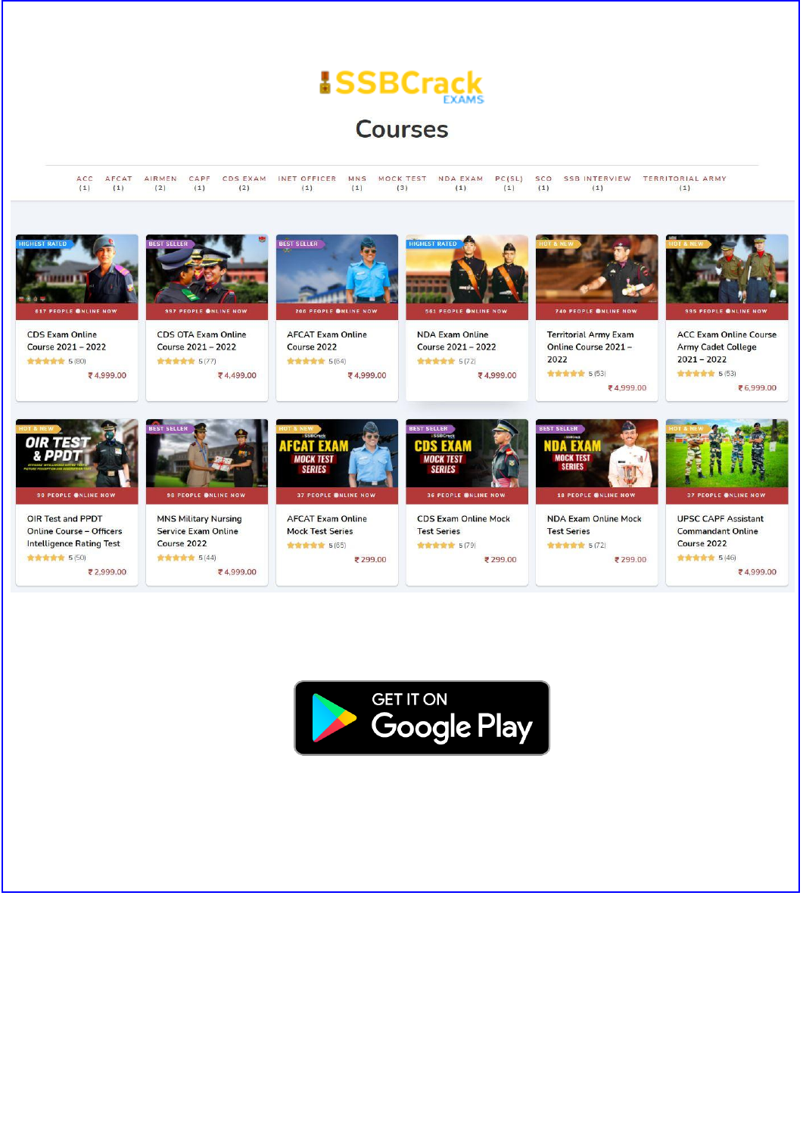**Courses** 

ACC AFCAT AIRMEN CAPF CDSEXAM INETOFFICER MNS MOCKTEST NDAEXAM PC(SL) SCO SSBINTERVIEW TERRITORIALARMY  $(1)$  $(1)$  $(2)$  $(1)$  $(2)$  $(1)$  $(1)$  $(3)$  $(1)$  $(1)$  $(1)$  $(1)$  $(1)$ 



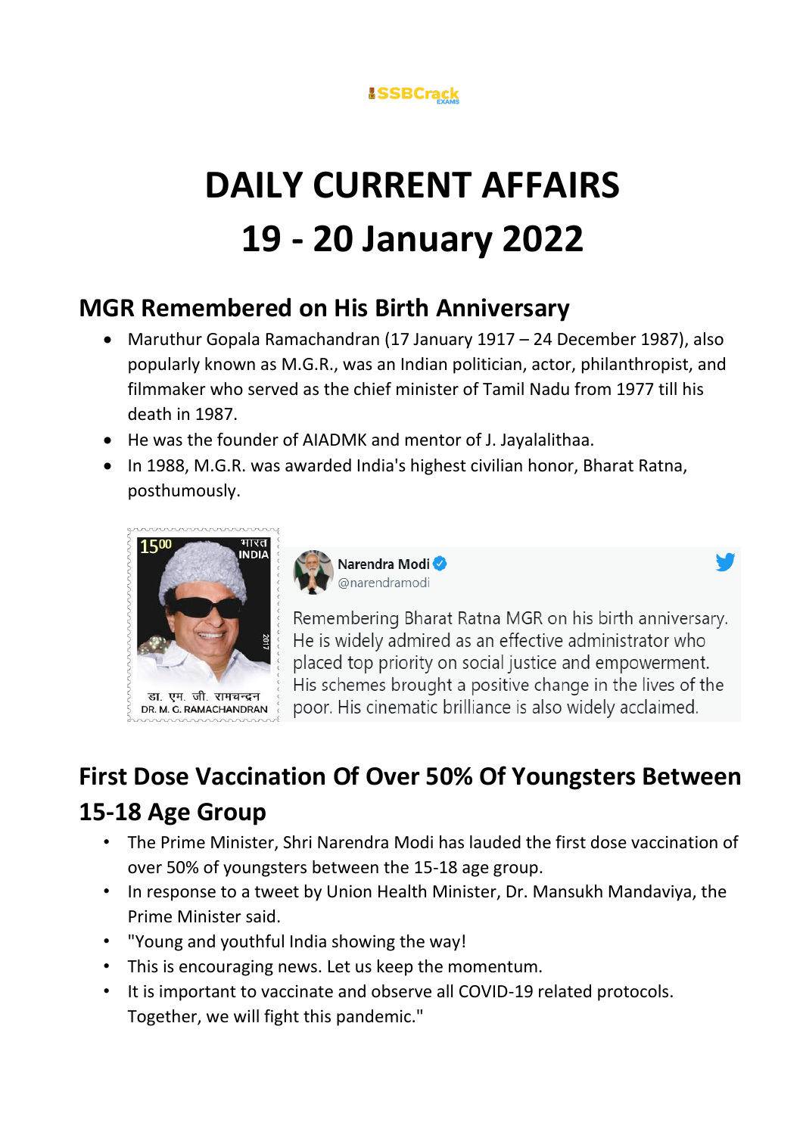

# **DAILY CURRENT AFFAIRS 19 - 20 January 2022**

### **MGR Remembered on His Birth Anniversary**

- Maruthur Gopala Ramachandran (17 January 1917 24 December 1987), also popularly known as M.G.R., was an Indian politician, actor, philanthropist, and filmmaker who served as the chief minister of Tamil Nadu from 1977 till his death in 1987.
- He was the founder of AIADMK and mentor of J. Jayalalithaa.
- In 1988, M.G.R. was awarded India's highest civilian honor, Bharat Ratna, posthumously.



DR. M. G. RAMACHANDRAN



Remembering Bharat Ratna MGR on his birth anniversary. He is widely admired as an effective administrator who placed top priority on social justice and empowerment. His schemes brought a positive change in the lives of the poor. His cinematic brilliance is also widely acclaimed.

### **First Dose Vaccination Of Over 50% Of Youngsters Between 15-18 Age Group**

- The Prime Minister, Shri Narendra Modi has lauded the first dose vaccination of over 50% of youngsters between the 15-18 age group.
- In response to a tweet by Union Health Minister, Dr. Mansukh Mandaviya, the Prime Minister said.
- "Young and youthful India showing the way!
- This is encouraging news. Let us keep the momentum.
- It is important to vaccinate and observe all COVID-19 related protocols. Together, we will fight this pandemic."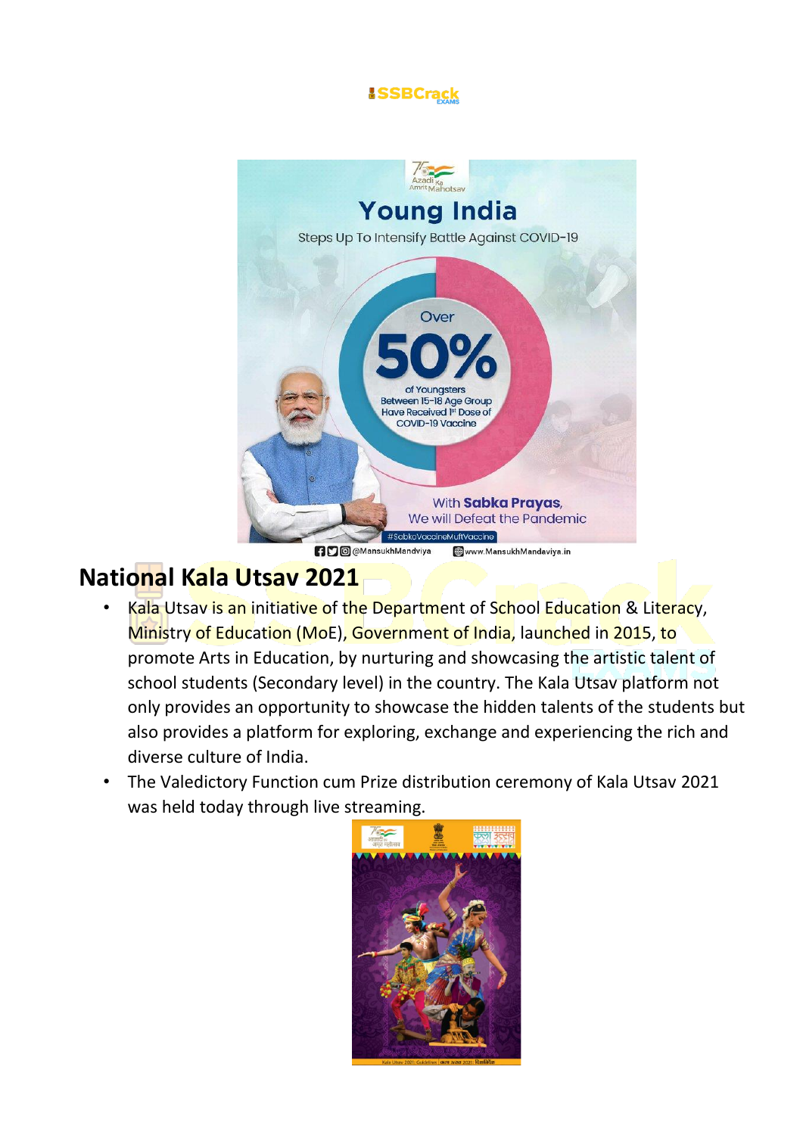



### **National Kala Utsav 2021**

- Kala Utsav is an initiative of the Department of School Education & Literacy, Ministry of Education (MoE), Government of India, launched in 2015, to promote Arts in Education, by nurturing and showcasing the artistic talent of school students (Secondary level) in the country. The Kala Utsav platform not only provides an opportunity to showcase the hidden talents of the students but also provides a platform for exploring, exchange and experiencing the rich and diverse culture of India.
- The Valedictory Function cum Prize distribution ceremony of Kala Utsav 2021 was held today through live streaming.

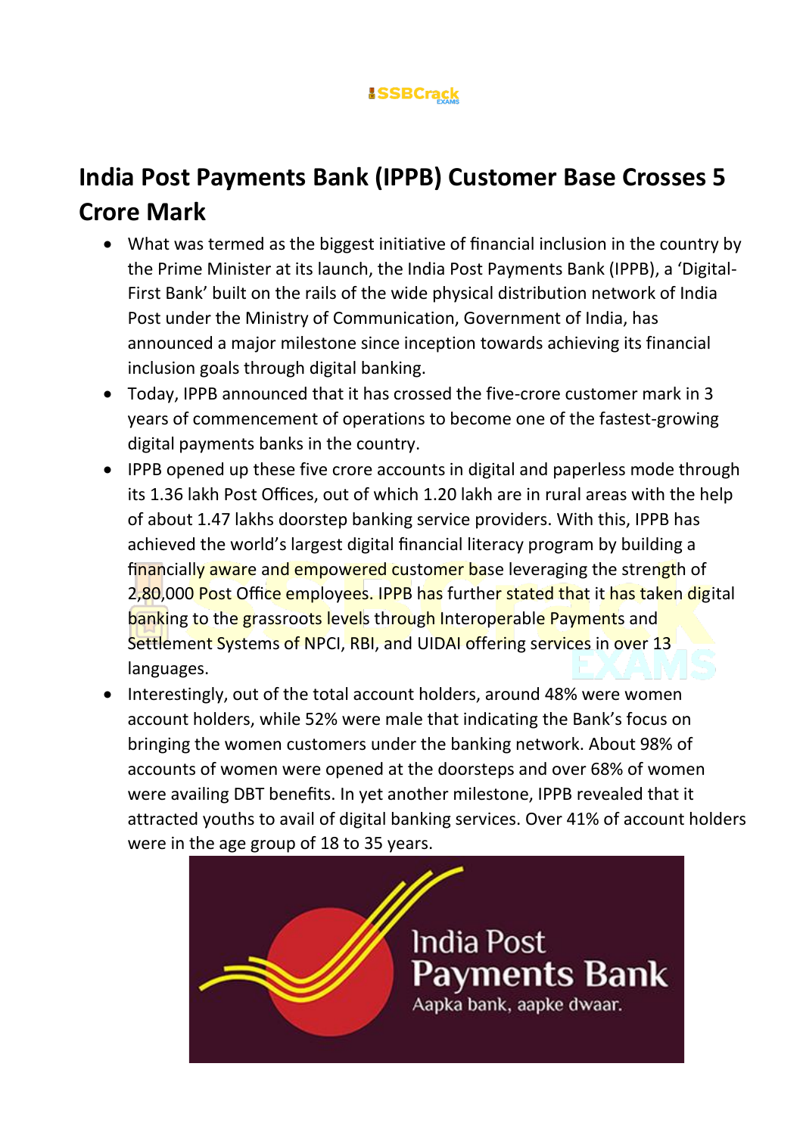

### **India Post Payments Bank (IPPB) Customer Base Crosses 5 Crore Mark**

- What was termed as the biggest initiative of financial inclusion in the country by the Prime Minister at its launch, the India Post Payments Bank (IPPB), a 'Digital-First Bank' built on the rails of the wide physical distribution network of India Post under the Ministry of Communication, Government of India, has announced a major milestone since inception towards achieving its financial inclusion goals through digital banking.
- Today, IPPB announced that it has crossed the five-crore customer mark in 3 years of commencement of operations to become one of the fastest-growing digital payments banks in the country.
- IPPB opened up these five crore accounts in digital and paperless mode through its 1.36 lakh Post Offices, out of which 1.20 lakh are in rural areas with the help of about 1.47 lakhs doorstep banking service providers. With this, IPPB has achieved the world's largest digital financial literacy program by building a financially aware and empowered customer base leveraging the strength of 2,80,000 Post Office employees. IPPB has further stated that it has taken digital banking to the grassroots levels through Interoperable Payments and Settlement Systems of NPCI, RBI, and UIDAI offering services in over 13 languages.
- Interestingly, out of the total account holders, around 48% were women account holders, while 52% were male that indicating the Bank's focus on bringing the women customers under the banking network. About 98% of accounts of women were opened at the doorsteps and over 68% of women were availing DBT benefits. In yet another milestone, IPPB revealed that it attracted youths to avail of digital banking services. Over 41% of account holders were in the age group of 18 to 35 years.

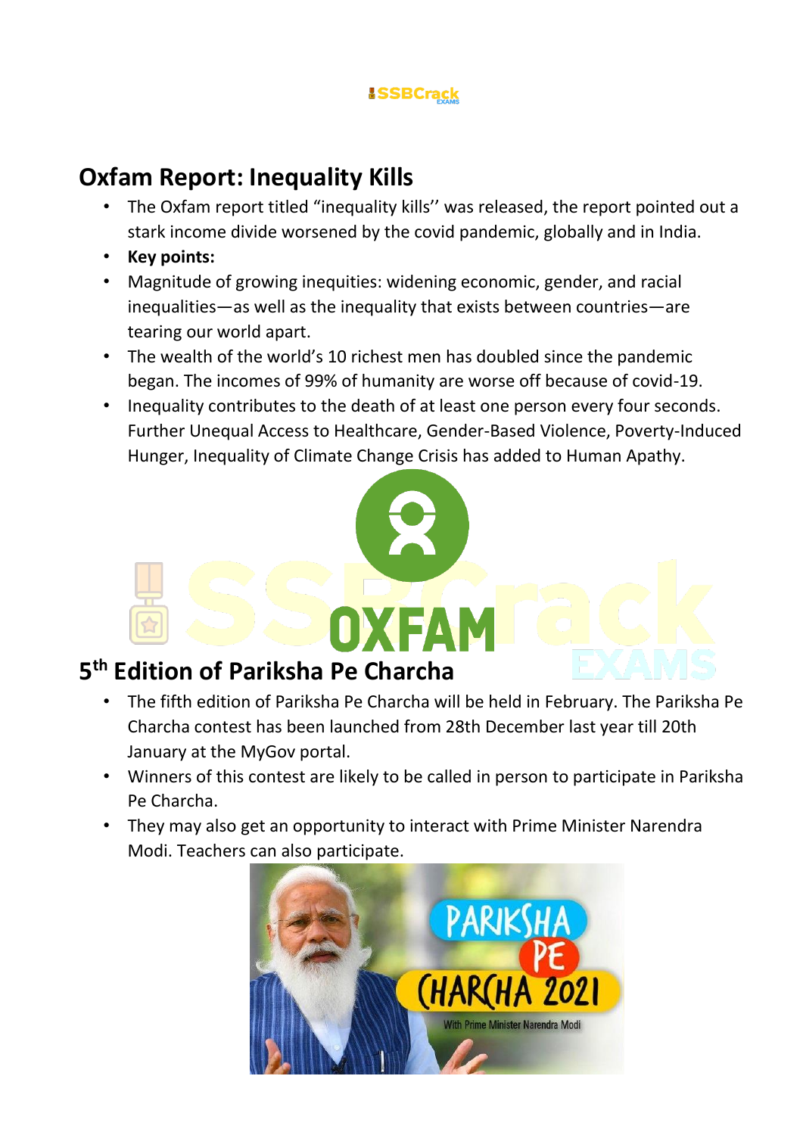### **Oxfam Report: Inequality Kills**

- The Oxfam report titled "inequality kills'' was released, the report pointed out a stark income divide worsened by the covid pandemic, globally and in India.
- **Key points:**
- Magnitude of growing inequities: widening economic, gender, and racial inequalities—as well as the inequality that exists between countries—are tearing our world apart.
- The wealth of the world's 10 richest men has doubled since the pandemic began. The incomes of 99% of humanity are worse off because of covid-19.
- Inequality contributes to the death of at least one person every four seconds. Further Unequal Access to Healthcare, Gender-Based Violence, Poverty-Induced Hunger, Inequality of Climate Change Crisis has added to Human Apathy.

### **5 th Edition of Pariksha Pe Charcha**

- The fifth edition of Pariksha Pe Charcha will be held in February. The Pariksha Pe Charcha contest has been launched from 28th December last year till 20th January at the MyGov portal.
- Winners of this contest are likely to be called in person to participate in Pariksha Pe Charcha.
- They may also get an opportunity to interact with Prime Minister Narendra Modi. Teachers can also participate.

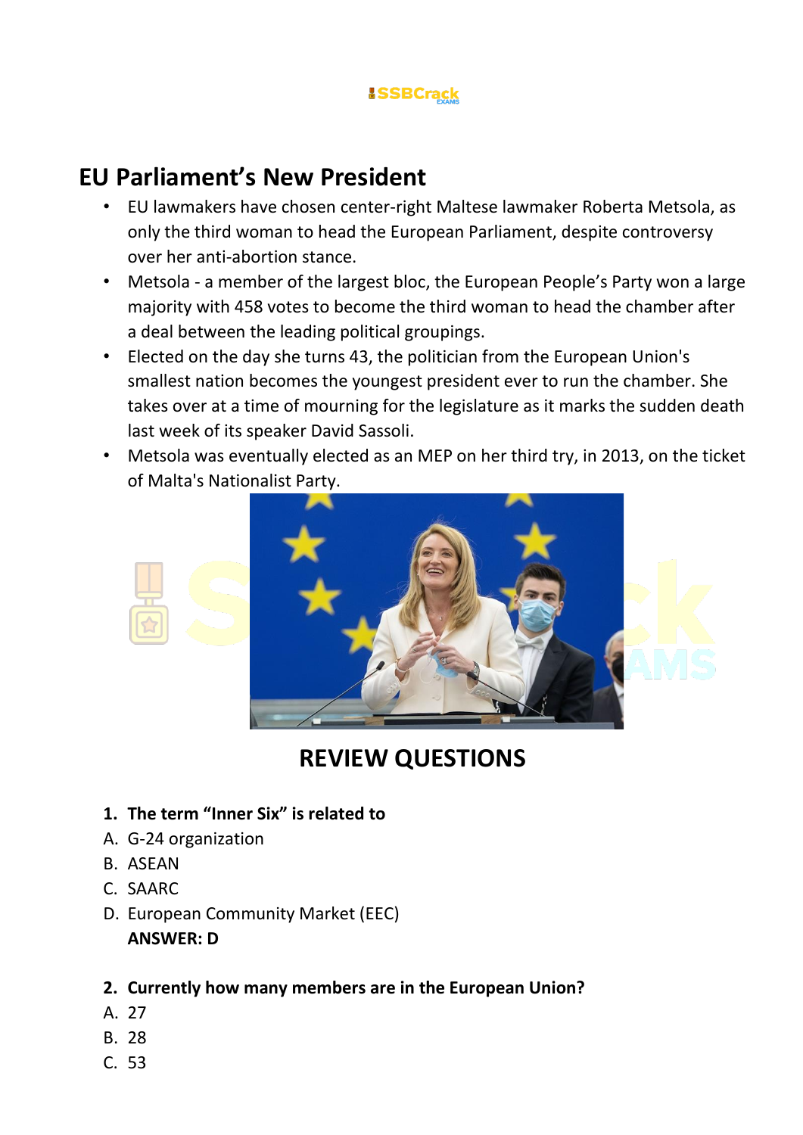### **EU Parliament's New President**

- EU lawmakers have chosen center-right Maltese lawmaker Roberta Metsola, as only the third woman to head the European Parliament, despite controversy over her anti-abortion stance.
- Metsola a member of the largest bloc, the European People's Party won a large majority with 458 votes to become the third woman to head the chamber after a deal between the leading political groupings.
- Elected on the day she turns 43, the politician from the European Union's smallest nation becomes the youngest president ever to run the chamber. She takes over at a time of mourning for the legislature as it marks the sudden death last week of its speaker David Sassoli.
- Metsola was eventually elected as an MEP on her third try, in 2013, on the ticket of Malta's Nationalist Party.



### **REVIEW QUESTIONS**

- **1. The term "Inner Six" is related to**
- A. G-24 organization
- B. ASEAN
- C. SAARC
- D. European Community Market (EEC) **ANSWER: D**
- **2. Currently how many members are in the European Union?**
- A. 27
- B. 28
- C. 53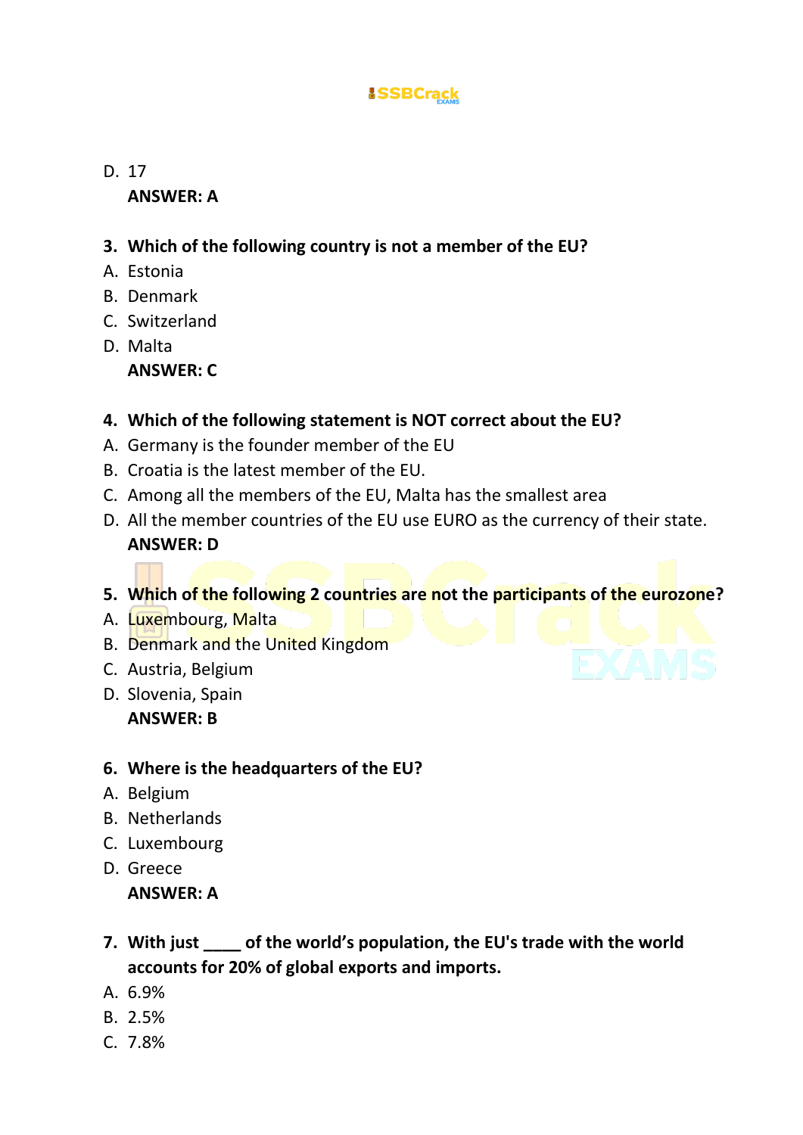#### D. 17 **ANSWER: A**

- **3. Which of the following country is not a member of the EU?**
- A. Estonia
- B. Denmark
- C. Switzerland
- D. Malta **ANSWER: C**
- **4. Which of the following statement is NOT correct about the EU?**
- A. Germany is the founder member of the EU
- B. Croatia is the latest member of the EU.
- C. Among all the members of the EU, Malta has the smallest area
- D. All the member countries of the EU use EURO as the currency of their state. **ANSWER: D**
- **5. Which of the following 2 countries are not the participants of the eurozone?**
- A. Luxembourg, Malta
- B. Denmark and the United Kingdom
- C. Austria, Belgium
- D. Slovenia, Spain **ANSWER: B**
- **6. Where is the headquarters of the EU?**
- A. Belgium
- B. Netherlands
- C. Luxembourg
- D. Greece
	- **ANSWER: A**
- **7. With just \_\_\_\_ of the world's population, the EU's trade with the world accounts for 20% of global exports and imports.**
- A. 6.9%
- B. 2.5%
- C. 7.8%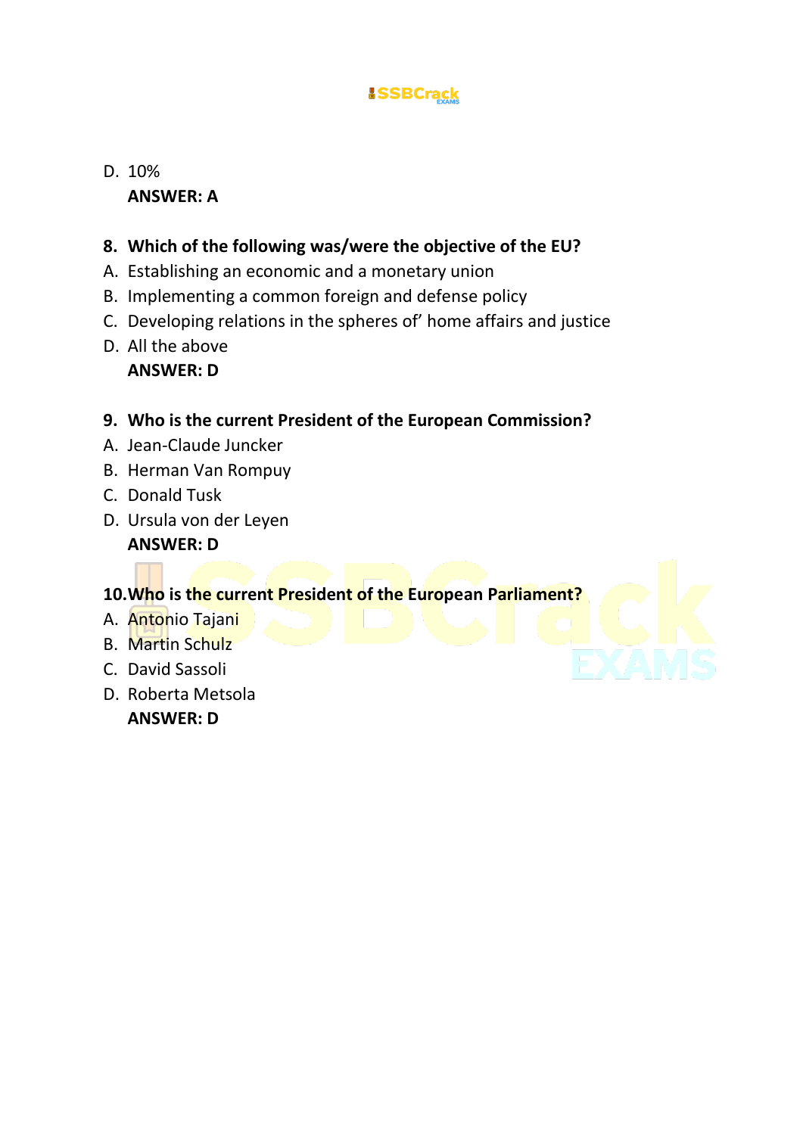#### D. 10% **ANSWER: A**

#### **8. Which of the following was/were the objective of the EU?**

- A. Establishing an economic and a monetary union
- B. Implementing a common foreign and defense policy
- C. Developing relations in the spheres of' home affairs and justice
- D. All the above **ANSWER: D**

#### **9. Who is the current President of the European Commission?**

- A. Jean-Claude Juncker
- B. Herman Van Rompuy
- C. Donald Tusk
- D. Ursula von der Leyen

#### **ANSWER: D**

#### **10.Who is the current President of the European Parliament?**

- A. Antonio Tajani
- B. Martin Schulz
- C. David Sassoli
- D. Roberta Metsola **ANSWER: D**